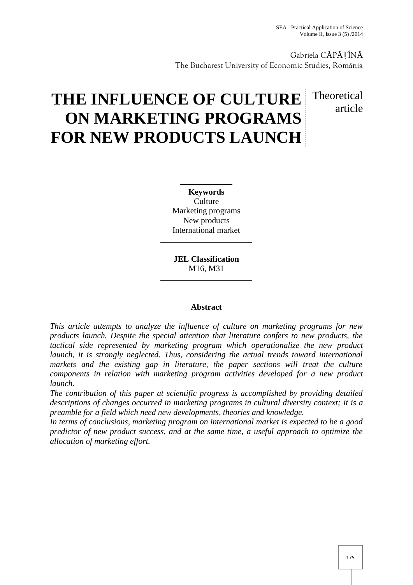Gabriela C P ȚÎN The Bucharest University of Economic Studies, România

# **THE INFLUENCE OF CULTURE ON MARKETING PROGRAMS FOR NEW PRODUCTS LAUNCH**

# Theoretical article

**Keywords Culture** Marketing programs New products International market

**JEL Classification** M16, M31

# **Abstract**

*This article attempts to analyze the influence of culture on marketing programs for new products launch. Despite the special attention that literature confers to new products, the tactical side represented by marketing program which operationalize the new product launch, it is strongly neglected. Thus, considering the actual trends toward international markets and the existing gap in literature, the paper sections will treat the culture components in relation with marketing program activities developed for a new product launch.*

*The contribution of this paper at scientific progress is accomplished by providing detailed descriptions of changes occurred in marketing programs in cultural diversity context; it is a preamble for a field which need new developments, theories and knowledge.*

*In terms of conclusions, marketing program on international market is expected to be a good predictor of new product success, and at the same time, a useful approach to optimize the allocation of marketing effort.*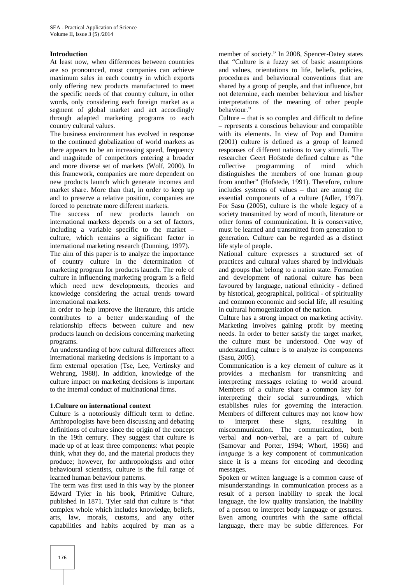# **Introduction**

At least now, when differences between countries are so pronounced, most companies can achieve maximum sales in each country in which exports only offering new products manufactured to meet the specific needs of that country culture, in other words, only considering each foreign market as a segment of global market and act accordingly through adapted marketing programs to each country cultural values.

The business environment has evolved in response to the continued globalization of world markets as there appears to be an increasing speed, frequency and magnitude of competitors entering a broader and more diverse set of markets (Wolf, 2000). In this framework, companies are more dependent on new products launch which generate incomes and market share. More than that, in order to keep up and to preserve a relative position, companies are forced to penetrate more different markets.

The success of new products launch on international markets depends on a set of factors, including a variable specific to the market – culture, which remains a significant factor in international marketing research (Dunning, 1997).

The aim of this paper is to analyze the importance of country culture in the determination of marketing program for products launch. The role of culture in influencing marketing program is a field which need new developments, theories and knowledge considering the actual trends toward international markets.

In order to help improve the literature, this article contributes to a better understanding of the relationship effects between culture and new products launch on decisions concerning marketing programs.

An understanding of how cultural differences affect international marketing decisions is important to a firm external operation (Tse, Lee, Vertinsky and Wehrung, 1988). In addition, knowledge of the culture impact on marketing decisions is important to the internal conduct of multinational firms.

# **1.Culture on international context**

Culture is a notoriously difficult term to define. Anthropologists have been discussing and debating definitions of culture since the origin of the concept in the 19th century. They suggest that culture is made up of at least three components: what people think, what they do, and the material products they produce; however, for anthropologists and other behavioural scientists, culture is the full range of learned human behaviour patterns.

The term was first used in this way by the pioneer Edward Tyler in his book, Primitive Culture, published in 1871. Tyler said that culture is "that complex whole which includes knowledge, beliefs, arts, law, morals, customs, and any other capabilities and habits acquired by man as a

member of society." In 2008, Spencer-Oatey states that "Culture is a fuzzy set of basic assumptions and values, orientations to life, beliefs, policies, procedures and behavioural conventions that are shared by a group of people, and that influence, but not determine, each member behaviour and his/her interpretations of the meaning of other people behaviour."

Culture – that is so complex and difficult to define – represents a conscious behaviour and compatible with its elements. In view of Pop and Dumitru (2001) culture is defined as a group of learned responses of different nations to vary stimuli. The researcher Geert Hofstede defined culture as "the programming of mind which distinguishes the members of one human group from another" (Hofstede, 1991). Therefore, culture includes systems of values – that are among the essential components of a culture (Adler, 1997). For Sasu (2005), culture is the whole legacy of a society transmitted by word of mouth, literature or other forms of communication. It is conservative, must be learned and transmitted from generation to generation. Culture can be regarded as a distinct life style of people.

National culture expresses a structured set of practices and cultural values shared by individuals and groups that belong to a nation state. Formation and development of national culture has been favoured by language, national ethnicity - defined by historical, geographical, political - of spirituality and common economic and social life, all resulting in cultural homogenization of the nation.

Culture has a strong impact on marketing activity. Marketing involves gaining profit by meeting needs. In order to better satisfy the target market, the culture must be understood. One way of understanding culture is to analyze its components (Sasu, 2005).

Communication is a key element of culture as it provides a mechanism for transmitting and interpreting messages relating to world around. Members of a culture share a common key for interpreting their social surroundings, which establishes rules for governing the interaction. Members of different cultures may not know how interpret these signs, resulting in miscommunication. The communication, both verbal and non-verbal, are a part of culture (Samovar and Porter, 1994; Whorf, 1956) and *language* is a key component of communication since it is a means for encoding and decoding messages.

Spoken or written language is a common cause of misunderstandings in communication process as a result of a person inability to speak the local language, the low quality translation, the inability of a person to interpret body language or gestures. Even among countries with the same official language, there may be subtle differences. For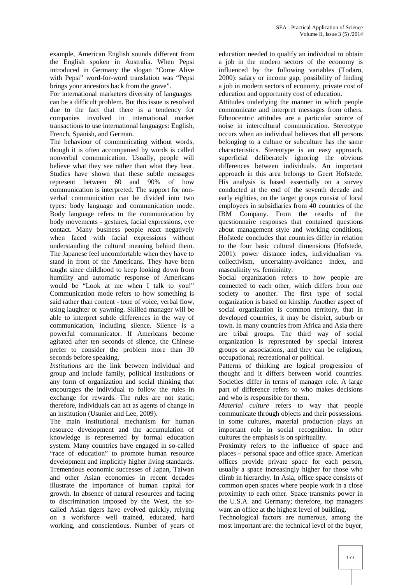example, American English sounds different from the English spoken in Australia. When Pepsi introduced in Germany the slogan "Come Alive with Pepsi" word-for-word translation was "Pepsi brings your ancestors back from the grave".

For international marketers diversity of languages can be a difficult problem. But this issue is resolved due to the fact that there is a tendency for companies involved in international market transactions to use international languages: English, French, Spanish, and German.

The behaviour of communicating without words, though it is often accompanied by words is called nonverbal communication. Usually, people will believe what they see rather than what they hear. Studies have shown that these subtle messages represent between 60 and 90% of how communication is interpreted. The support for non verbal communication can be divided into two types: body language and communication mode. Body language refers to the communication by body movements - gestures, facial expressions, eye contact. Many business people react negatively when faced with facial expressions without understanding the cultural meaning behind them. The Japanese feel uncomfortable when they have to stand in front of the Americans. They have been taught since childhood to keep looking down from humility and automatic response of Americans would be "Look at me when I talk to you!" Communication mode refers to how something is said rather than content - tone of voice, verbal flow, using laughter or yawning. Skilled manager will be able to interpret subtle differences in the way of communication, including silence. Silence is a powerful communicator. If Americans become agitated after ten seconds of silence, the Chinese prefer to consider the problem more than 30 seconds before speaking.

*Institutions* are the link between individual and group and include family, political institutions or any form of organization and social thinking that encourages the individual to follow the rules in exchange for rewards. The rules are not static; therefore, individuals can act as agents of change in an institution (Usunier and Lee, 2009).

The main institutional mechanism for human resource development and the accumulation of knowledge is represented by formal education system. Many countries have engaged in so-called "race of education" to promote human resource development and implicitly higher living standards. Tremendous economic successes of Japan, Taiwan and other Asian economies in recent decades illustrate the importance of human capital for growth. In absence of natural resources and facing to discrimination imposed by the West, the so called Asian tigers have evolved quickly, relying on a workforce well trained, educated, hard working, and conscientious. Number of years of education needed to qualify an individual to obtain a job in the modern sectors of the economy is influenced by the following variables (Todaro, 2000): salary or income gap, possibility of finding a job in modern sectors of economy, private cost of education and opportunity cost of education.

Attitudes underlying the manner in which people communicate and interpret messages from others. Ethnocentric attitudes are a particular source of noise in intercultural communication. Stereotype occurs when an individual believes that all persons belonging to a culture or subculture has the same characteristics. Stereotype is an easy approach, superficial deliberately ignoring the obvious differences between individuals. An important approach in this area belongs to Geert Hofstede. His analysis is based essentially on a survey conducted at the end of the seventh decade and early eighties, on the target groups consist of local employees in subsidiaries from 40 countries of the IBM Company. From the results of the questionnaire responses that contained questions about management style and working conditions, Hofstede concludes that countries differ in relation to the four basic cultural dimensions (Hofstede, 2001): power distance index, individualism vs. collectivism, uncertainty-avoidance index, and masculinity vs. femininity.

Social organization refers to how people are connected to each other, which differs from one society to another. The first type of social organization is based on kinship. Another aspect of social organization is common territory, that in developed countries, it may be district, suburb or town. In many countries from Africa and Asia there are tribal groups. The third way of social organization is represented by special interest groups or associations, and they can be religious, occupational, recreational or political.

Patterns of thinking are logical progression of thought and it differs between world countries. Societies differ in terms of manager role. A large part of difference refers to who makes decisions and who is responsible for them.

*Material culture* refers to way that people communicate through objects and their possessions. In some cultures, material production plays an important role in social recognition. In other cultures the emphasis is on spirituality.

Proximity refers to the influence of space and places – personal space and office space. American offices provide private space for each person, usually a space increasingly higher for those who climb in hierarchy. In Asia, office space consists of common open spaces where people work in a close proximity to each other. Space transmits power in the U.S.A. and Germany; therefore, top managers want an office at the highest level of building.

Technological factors are numerous, among the most important are: the technical level of the buyer,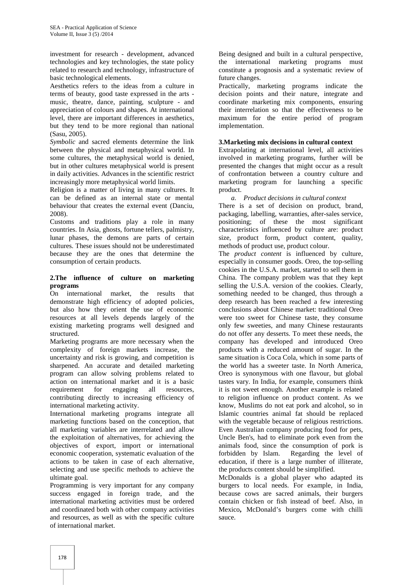investment for research - development, advanced technologies and key technologies, the state policy related to research and technology, infrastructure of basic technological elements.

Aesthetics refers to the ideas from a culture in terms of beauty, good taste expressed in the arts music, theatre, dance, painting, sculpture - and appreciation of colours and shapes. At international level, there are important differences in aesthetics, but they tend to be more regional than national (Sasu, 2005).

*Symbolic* and sacred elements determine the link between the physical and metaphysical world. In some cultures, the metaphysical world is denied, but in other cultures metaphysical world is present in daily activities. Advances in the scientific restrict increasingly more metaphysical world limits.

Religion is a matter of living in many cultures. It can be defined as an internal state or mental behaviour that creates the external event (Danciu, 2008).

Customs and traditions play a role in many countries. In Asia, ghosts, fortune tellers, palmistry, lunar phases, the demons are parts of certain cultures. These issues should not be underestimated because they are the ones that determine the consumption of certain products.

#### **2.The influence of culture on marketing programs**

On international market, the results that demonstrate high efficiency of adopted policies, but also how they orient the use of economic resources at all levels depends largely of the existing marketing programs well designed and structured.

Marketing programs are more necessary when the complexity of foreign markets increase, the uncertainty and risk is growing, and competition is sharpened. An accurate and detailed marketing program can allow solving problems related to action on international market and it is a basic requirement for engaging all resources, contributing directly to increasing efficiency of international marketing activity.

International marketing programs integrate all marketing functions based on the conception, that all marketing variables are interrelated and allow the exploitation of alternatives, for achieving the objectives of export, import or international economic cooperation, systematic evaluation of the actions to be taken in case of each alternative, selecting and use specific methods to achieve the ultimate goal.

Programming is very important for any company success engaged in foreign trade, and the international marketing activities must be ordered and coordinated both with other company activities and resources, as well as with the specific culture of international market.

Being designed and built in a cultural perspective, the international marketing programs must constitute a prognosis and a systematic review of future changes.

Practically, marketing programs indicate the decision points and their nature, integrate and coordinate marketing mix components, ensuring their interrelation so that the effectiveness to be maximum for the entire period of program implementation.

# **3.Marketing mix decisions in cultural context**

Extrapolating at international level, all activities involved in marketing programs, further will be presented the changes that might occur as a result of confrontation between a country culture and marketing program for launching a specific product.

*a. Product decisions in cultural context*

There is a set of decision on product, brand, packaging, labelling, warranties, after-sales service, positioning; of these the most significant characteristics influenced by culture are: product size, product form, product content, quality, methods of product use, product colour.

The *product content* is influenced by culture, especially in consumer goods. Oreo, the top-selling cookies in the U.S.A. market, started to sell them in China. The company problem was that they kept selling the U.S.A. version of the cookies. Clearly, something needed to be changed, thus through a deep research has been reached a few interesting conclusions about Chinese market: traditional Oreo were too sweet for Chinese taste, they consume only few sweeties, and many Chinese restaurants do not offer any desserts. To meet these needs, the company has developed and introduced Oreo products with a reduced amount of sugar. In the same situation is Coca Cola, which in some parts of the world has a sweeter taste. In North America, Oreo is synonymous with one flavour, but global tastes vary. In India, for example, consumers think it is not sweet enough. Another example is related to religion influence on product content. As we know, Muslims do not eat pork and alcohol, so in Islamic countries animal fat should be replaced with the vegetable because of religious restrictions. Even Australian company producing food for pets, Uncle Ben's, had to eliminate pork even from the animals food, since the consumption of pork is forbidden by Islam. Regarding the level of education, if there is a large number of illiterate, the products content should be simplified.

McDonalds is a global player who adapted its burgers to local needs. For example, in India, because cows are sacred animals, their burgers contain chicken or fish instead of beef. Also, in Mexico**,** McDonald's burgers come with chilli sauce.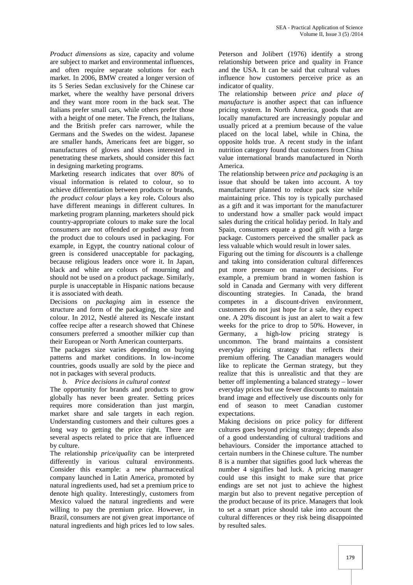*Product dimensions* as size, capacity and volume are subject to market and environmental influences, and often require separate solutions for each market. In 2006, BMW created a longer version of its 5 Series Sedan exclusively for the Chinese car market, where the wealthy have personal drivers and they want more room in the back seat. The Italians prefer small cars, while others prefer those with a height of one meter. The French, the Italians, and the British prefer cars narrower, while the Germans and the Swedes on the widest. Japanese are smaller hands, Americans feet are bigger, so manufactures of gloves and shoes interested in penetrating these markets, should consider this fact in designing marketing programs.

Marketing research indicates that over 80% of visual information is related to colour, so to achieve differentiation between products or brands, *the product colour* plays a key role**.** Colours also have different meanings in different cultures. In marketing program planning, marketers should pick country-appropriate colours to make sure the local consumers are not offended or pushed away from the product due to colours used in packaging. For example, in Egypt, the country national colour of green is considered unacceptable for packaging, because religious leaders once wore it. In Japan, black and white are colours of mourning and should not be used on a product package. Similarly, purple is unacceptable in Hispanic nations because it is associated with death.

Decisions on *packaging* aim in essence the structure and form of the packaging, the size and colour. In 2012, Nestlé altered its Nescafe instant coffee recipe after a research showed that Chinese consumers preferred a smoother milkier cup than their European or North American counterparts.

The packages size varies depending on buying patterns and market conditions. In low-income countries, goods usually are sold by the piece and not in packages with several products.

*b. Price decisions in cultural context*

The opportunity for brands and products to grow globally has never been greater. Setting prices requires more consideration than just margin, market share and sale targets in each region. Understanding customers and their cultures goes a long way to getting the price right. There are several aspects related to price that are influenced by culture.

The relationship *price/quality* can be interpreted differently in various cultural environments. Consider this example: a new pharmaceutical company launched in Latin America, promoted by natural ingredients used, had set a premium price to denote high quality. Interestingly, customers from Mexico valued the natural ingredients and were willing to pay the premium price. However, in Brazil, consumers are not given great importance of natural ingredients and high prices led to low sales.

Peterson and Jolibert (1976) identify a strong relationship between price and quality in France and the USA. It can be said that cultural values influence how customers perceive price as an indicator of quality.

The relationship between *price and place of manufacture* is another aspect that can influence pricing system. In North America, goods that are locally manufactured are increasingly popular and usually priced at a premium because of the value placed on the local label, while in China, the opposite holds true. A recent study in the infant nutrition category found that customers from China value international brands manufactured in North America.

The relationship between *price and packaging* is an issue that should be taken into account. A toy manufacturer planned to reduce pack size while maintaining price. This toy is typically purchased as a gift and it was important for the manufacturer to understand how a smaller pack would impact sales during the critical holiday period. In Italy and Spain, consumers equate a good gift with a large package. Customers perceived the smaller pack as less valuable which would result in lower sales.

Figuring out the timing for *discounts* is a challenge and taking into consideration cultural differences put more pressure on manager decisions. For example, a premium brand in women fashion is sold in Canada and Germany with very different discounting strategies. In Canada, the brand competes in a discount-driven environment, customers do not just hope for a sale, they expect one. A 20% discount is just an alert to wait a few weeks for the price to drop to 50%. However, in Germany, a high-low pricing strategy is uncommon. The brand maintains a consistent everyday pricing strategy that reflects their premium offering. The Canadian managers would like to replicate the German strategy, but they realize that this is unrealistic and that they are better off implementing a balanced strategy – lower everyday prices but use fewer discounts to maintain brand image and effectively use discounts only for end of season to meet Canadian customer expectations.

Making decisions on price policy for different cultures goes beyond pricing strategy; depends also of a good understanding of cultural traditions and behaviours. Consider the importance attached to certain numbers in the Chinese culture. The number 8 is a number that signifies good luck whereas the number 4 signifies bad luck. A pricing manager could use this insight to make sure that price endings are set not just to achieve the highest margin but also to prevent negative perception of the product because of its price. Managers that look to set a smart price should take into account the cultural differences or they risk being disappointed by resulted sales.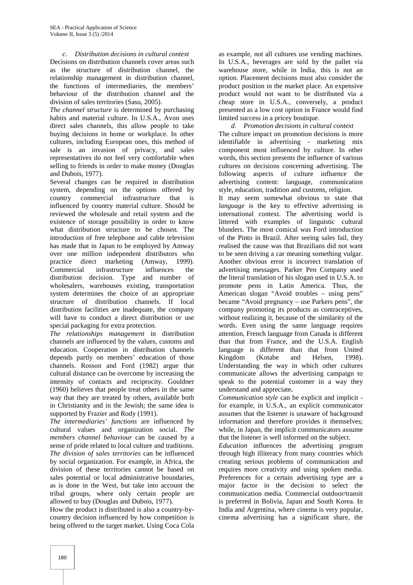#### *c. Distribution decisions in cultural context*

Decisions on distribution channels cover areas such as the structure of distribution channel, the relationship management in distribution channel, the functions of intermediaries, the members' behaviour of the distribution channel and the division of sales territories (Sasu, 2005).

*The channel structure* is determined by purchasing habits and material culture. In U.S.A., Avon uses direct sales channels, this allow people to take buying decisions in home or workplace. In other cultures, including European ones, this method of sale is an invasion of privacy, and sales representatives do not feel very comfortable when selling to friends in order to make money (Douglas and Dubois, 1977).

Several changes can be required in distribution system, depending on the options offered by country commercial infrastructure that is influenced by country material culture. Should be reviewed the wholesale and retail system and the existence of storage possibility in order to know what distribution structure to be chosen. The introduction of free telephone and cable television has made that in Japan to be employed by Amway over one million independent distributors who practice direct marketing (Amway, 1999). Commercial infrastructure influences the distribution decision. Type and number of wholesalers, warehouses existing, transportation system determines the choice of an appropriate structure of distribution channels. If local distribution facilities are inadequate, the company will have to conduct a direct distribution or use special packaging for extra protection.

*The relationships management* in distribution channels are influenced by the values, customs and education. Cooperation in distribution channels depends partly on members' education of those channels. Rosson and Ford (1982) argue that cultural distance can be overcome by increasing the intensity of contacts and reciprocity. Gouldner (1960) believes that people treat others in the same way that they are treated by others, available both in Christianity and in the Jewish; the same idea is supported by Frazier and Rody (1991).

*The intermediaries' functions* are influenced by cultural values and organization social. *The members channel behaviour* can be caused by a sense of pride related to local culture and traditions. *The division of sales territories* can be influenced by social organization. For example, in Africa, the division of these territories cannot be based on sales potential or local administrative boundaries, as is done in the West, but take into account the tribal groups, where only certain people are allowed to buy (Douglas and Dubois, 1977).

How the product is distributed is also a country-by country decision influenced by how competition is being offered to the target market. Using Coca Cola

as example, not all cultures use vending machines. In U.S.A., beverages are sold by the pallet via warehouse store, while in India, this is not an option. Placement decisions must also consider the product position in the market place. An expensive product would not want to be distributed via a cheap store in U.S.A., conversely, a product presented as a low cost option in France would find limited success in a pricey boutique.

*d. Promotion decisions in cultural context* The culture impact on promotion decisions is more identifiable in advertising - marketing mix component most influenced by culture. In other words, this section presents the influence of various cultures on decisions concerning advertising. The following aspects of culture influence the advertising content: language, communication style, education, tradition and customs, religion.

It may seem somewhat obvious to state that *language* is the key to effective advertising in international context. The advertising world is littered with examples of linguistic cultural blunders. The most comical was Ford introduction of the Pinto in Brazil. After seeing sales fail, they realised the cause was that Brazilians did not want to be seen driving a car meaning something vulgar. Another obvious error is incorrect translation of advertising messages. Parker Pen Company used the literal translation of his slogan used in U.S.A. to promote pens in Latin America. Thus, the American slogan "Avoid troubles – using pens" became "Avoid pregnancy – use Parkers pens", the company promoting its products as contraceptives, without realizing it, because of the similarity of the words. Even using the same language requires attention, French language from Canada is different than that from France, and the U.S.A. English language is different than that from United Kingdom (Kotabe and Helsen, 1998). Understanding the way in which other cultures communicate allows the advertising campaign to speak to the potential customer in a way they understand and appreciate**.**

*Communication style* can be explicit and implicit for example, in U.S.A., an explicit communicator assumes that the listener is unaware of background information and therefore provides it themselves; while, in Japan, the implicit communicators assume that the listener is well informed on the subject.

*Education* influences the advertising program through high illiteracy from many countries which creating serious problems of communication and requires more creativity and using spoken media. Preferences for a certain advertising type are a major factor in the decision to select the communication media. Commercial outdoor/transit is preferred in Bolivia, Japan and South Korea. In India and Argentina, where cinema is very popular, cinema advertising has a significant share, the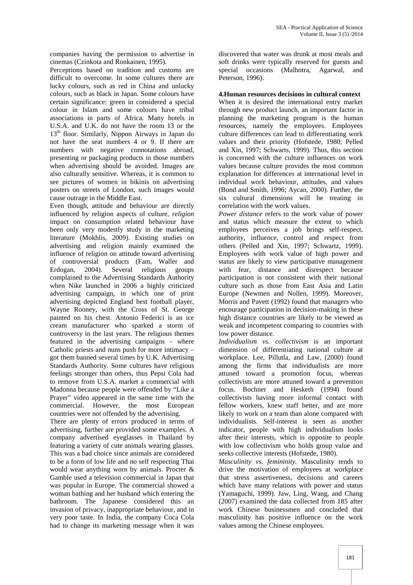companies having the permission to advertise in cinemas (Czinkota and Ronkainen, 1995).

Perceptions based on tradition and customs are difficult to overcome. In some cultures there are lucky colours, such as red in China and unlucky colours, such as black in Japan. Some colours have certain significance: green in considered a special colour in Islam and some colours have tribal associations in parts of Africa. Many hotels in U.S.A. and U.K. do not have the room 13 or the 13th floor. Similarly, Nippon Airways in Japan do not have the seat numbers 4 or 9. If there are numbers with negative connotations abroad, presenting or packaging products in those numbers when advertising should be avoided. Images are also culturally sensitive. Whereas, it is common to see pictures of women in bikinis on advertising posters on streets of London, such images would cause outrage in the Middle East.

Even though, attitude and behaviour are directly influenced by religion aspects of culture, *religion* impact on consumption related behaviour have been only very modestly study in the marketing literature (Mokhlis, 2009). Existing studies on advertising and religion mainly examined the influence of religion on attitude toward advertising of controversial products (Fam, Waller and Erdogan, 2004). Several religious groups complained to the Advertising Standards Authority when Nike launched in 2006 a highly criticized advertising campaign, in which one of print advertising depicted England best football player, Wayne Rooney, with the Cross of St. George painted on his chest. Antonio Federici is an ice cream manufacturer who sparked a storm of controversy in the last years. The religious themes featured in the advertising campaigns – where Catholic priests and nuns push for more intimacy – got them banned several times by U.K. Advertising Standards Authority. Some cultures have religious feelings stronger than others, thus Pepsi Cola had to remove from U.S.A. market a commercial with Madonna because people were offended by "Like a Prayer" video appeared in the same time with the commercial. However, the most European countries were not offended by the advertising.

There are plenty of errors produced in terms of advertising, further are provided some examples. A company advertised eyeglasses in Thailand by featuring a variety of cute animals wearing glasses. This was a bad choice since animals are considered to be a form of low life and no self respecting Thai would wear anything worn by animals. Procter & Gamble used a television commercial in Japan that was popular in Europe. The commercial showed a woman bathing and her husband which entering the bathroom. The Japanese considered this an invasion of privacy, inappropriate behaviour, and in very poor taste. In India, the company Coca Cola had to change its marketing message when it was

discovered that water was drunk at most meals and soft drinks were typically reserved for guests and special occasions (Malhotra, Agarwal, and Peterson, 1996).

# **4.Human resources decisions in cultural context**

When it is desired the international entry market through new product launch, an important factor in planning the marketing program is the human resources, namely the employees. Employees culture differences can lead to differentiating work values and their priority (Hofstede, 1980; Pelled and Xin, 1997; Schwarts, 1999). Thus, this section is concerned with the culture influences on work values because culture provides the most common explanation for differences at international level in individual work behaviour, attitudes, and values (Bond and Smith, 1996; Aycan, 2000). Further, the six cultural dimensions will be treating in correlation with the work values.

*Power distance* refers to the work value of power and status which measure the extent to which employees perceives a job brings self-respect, authority, influence, control and respect from others (Pelled and Xin, 1997; Schwartz, 1999). Employees with work value of high power and status are likely to view participative management with fear, distance and disrespect because participation is not consistent with their national culture such as those from East Asia and Latin Europe (Newmen and Nollen, 1999). Moreover, Morris and Pavett (1992) found that managers who encourage participation in decision-making in these high distance countries are likely to be viewed as weak and incompetent comparing to countries with low power distance.

*Individualism vs. collectivism* is an important dimension of differentiating national culture at workplace. Lee, Pillutla, and Law, (2000) found among the firms that individualists are more attuned toward a promotion focus, whereas collectivists are more attuned toward a prevention focus. Bochner and Hesketh (1994) found collectivists having more informal contact with fellow workers, knew staff better, and are more likely to work on a team than alone compared with individualists. Self-interest is seen as another indicator, people with high individualism looks after their interests, which is opposite to people with low collectivism who holds group value and seeks collective interests (Hofstede, 1980).

*Masculinity vs. femininity.* Masculinity tends to drive the motivation of employees at workplace that stress assertiveness, decisions and careers which have many relations with power and status (Yamaguchi, 1999). Jaw, Ling, Wang, and Chang (2007) examined the data collected from 185 after work Chinese businessmen and concluded that masculinity has positive influence on the work values among the Chinese employees.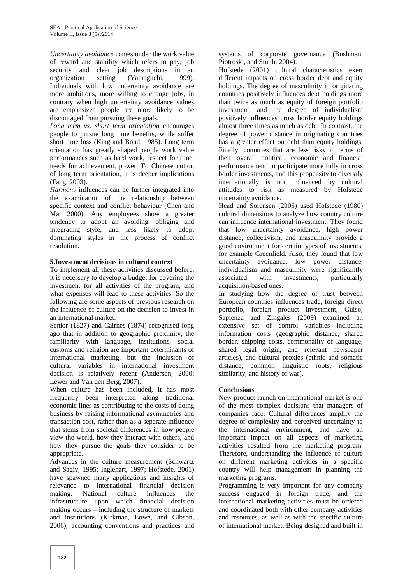*Uncertainty avoidance* comes under the work value of reward and stability which refers to pay, job security and clear job descriptions in an organization setting (Yamaguchi, 1999). Individuals with low uncertainty avoidance are more ambitious, more willing to change jobs, in contrary when high uncertainty avoidance values are emphasized people are more likely to be discouraged from pursuing these goals.

*Long term vs. short term orientation* encourages people to pursue long time benefits, while suffer short time loss (King and Bond, 1985). Long term orientation has greatly shaped people work value performances such as hard work, respect for time, needs for achievement, power. To Chinese notion of long term orientation, it is deeper implications (Fang, 2003).

*Harmony* influences can be further integrated into the examination of the relationship between specific context and conflict behaviour (Chen and Ma, 2000). Any employees show a greater tendency to adopt an avoiding, obliging and integrating style, and less likely to adopt dominating styles in the process of conflict resolution.

# **5.Investment decisions in cultural context**

To implement all these activities discussed before, it is necessary to develop a budget for covering the investment for all activities of the program, and what expenses will lead to these activities. So the following are some aspects of previous research on the influence of culture on the decision to invest in an international market.

Senior (1827) and Cairnes (1874) recognised long ago that in addition to geographic proximity, the familiarity with language, institutions, social customs and religion are important determinants of international marketing, but the inclusion of cultural variables in international investment decision is relatively recent (Anderson, 2000; Lewer and Van den Berg, 2007).

When culture has been included, it has most frequently been interpreted along traditional economic lines as contributing to the costs of doing business by raising informational asymmetries and transaction cost, rather than as a separate influence that stems from societal differences in how people view the world, how they interact with others, and how they pursue the goals they consider to be appropriate.

Advances in the culture measurement (Schwartz and Sagiv, 1995; Inglehart, 1997; Hofstede, 2001) have spawned many applications and insights of relevance to international financial decision making. National culture influences the infrastructure upon which financial decision making occurs – including the structure of markets and institutions (Kirkman, Lowe, and Gibson, 2006), accounting conventions and practices and

systems of corporate governance (Bushman, Piotroski, and Smith, 2004).

Hofstede (2001) cultural characteristics exert different impacts on cross border debt and equity holdings. The degree of masculinity in originating countries positively influences debt holdings more than twice as much as equity of foreign portfolio investment, and the degree of individualism positively influences cross border equity holdings almost three times as much as debt. In contrast, the degree of power distance in originating countries has a greater effect on debt than equity holdings. Finally, countries that are less risky in terms of their overall political, economic and financial performance tend to participate more fully in cross border investments, and this propensity to diversify internationally is not influenced by cultural attitudes to risk as measured by Hofstede uncertainty avoidance.

Head and Sorensen (2005) used Hofstede (1980) cultural dimensions to analyze how country culture can influence international investment. They found that low uncertainty avoidance, high power distance, collectivism, and masculinity provide a good environment for certain types of investments, for example Greenfield. Also, they found that low uncertainty avoidance, low power distance, individualism and masculinity were significantly<br>associated with investments, particularly investments, particularly acquisition-based ones.

In studying how the degree of trust between European countries influences trade, foreign direct portfolio, foreign product investment, Guiso, Sapienza and Zingales (2009) examined an extensive set of control variables including information costs (geographic distance, shared border, shipping costs, commonality of language, shared legal origin, and relevant newspaper articles), and cultural proxies (ethnic and somatic distance, common linguistic roots, religious similarity, and history of war).

# **Conclusions**

New product launch on international market is one of the most complex decisions that managers of companies face. Cultural differences amplify the degree of complexity and perceived uncertainty to the international environment, and have an important impact on all aspects of marketing activities resulted from the marketing program. Therefore, understanding the influence of culture on different marketing activities in a specific country will help management in planning the marketing programs.

Programming is very important for any company success engaged in foreign trade, and the international marketing activities must be ordered and coordinated both with other company activities and resources, as well as with the specific culture of international market. Being designed and built in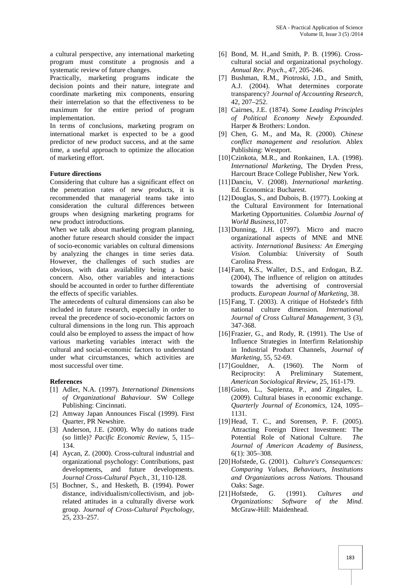a cultural perspective, any international marketing program must constitute a prognosis and a systematic review of future changes.

Practically, marketing programs indicate the decision points and their nature, integrate and coordinate marketing mix components, ensuring their interrelation so that the effectiveness to be maximum for the entire period of program implementation.

In terms of conclusions, marketing program on international market is expected to be a good predictor of new product success, and at the same time, a useful approach to optimize the allocation of marketing effort.

# **Future directions**

Considering that culture has a significant effect on the penetration rates of new products, it is recommended that managerial teams take into consideration the cultural differences between groups when designing marketing programs for new product introductions.

When we talk about marketing program planning, another future research should consider the impact of socio-economic variables on cultural dimensions by analyzing the changes in time series data. However, the challenges of such studies are obvious, with data availability being a basic concern. Also, other variables and interactions should be accounted in order to further differentiate the effects of specific variables.

The antecedents of cultural dimensions can also be included in future research, especially in order to reveal the precedence of socio-economic factors on cultural dimensions in the long run. This approach could also be employed to assess the impact of how various marketing variables interact with the cultural and social-economic factors to understand under what circumstances, which activities are most successful over time.

# **References**

- [1] Adler, N.A. (1997). *International Dimensions of Organizational Bahaviour.* SW College Publishing: Cincinnati.
- [2] Amway Japan Announces Fiscal (1999). First Quarter, PR Newshire.
- [3] Anderson, J.E. (2000). Why do nations trade (so little)? *Pacific Economic Review,* 5, 115– 134.
- [4] Aycan, Z. (2000). Cross-cultural industrial and organizational psychology: Contributions, past developments, and future developments. *Journal Cross-Cultural Psych.,* 31, 110-128.
- [5] Bochner, S., and Hesketh, B. (1994). Power distance, individualism/collectivism, and jobrelated attitudes in a culturally diverse work group. *Journal of Cross-Cultural Psychology*, 25, 233–257.
- [6] Bond, M. H.,and Smith, P. B. (1996). Cross cultural social and organizational psychology. *Annual Rev. Psych*., 47, 205-246.
- [7] Bushman, R.M., Piotroski, J.D., and Smith, A.J. (2004). What determines corporate transparency? *Journal of Accounting Research*, 42, 207–252.
- [8] Cairnes, J.E. (1874). *Some Leading Principles of Political Economy Newly Expounded*. Harper & Brothers: London.
- [9] Chen, G. M., and Ma, R. (2000). *Chinese conflict management and resolution.* Ablex Publishing: Westport.
- [10]Czinkota, M.R., and Ronkainen, I.A. (1998). *International Marketing*, The Dryden Press, Harcourt Brace College Publisher, New York.
- [11]Danciu, V. (2008). *International marketing*. Ed. Economica: Bucharest.
- [12]Douglas, S., and Dubois, B. (1977). Looking at the Cultural Environment for International Marketing Opportunities. *Columbia Journal of World Business*,107.
- [13]Dunning, J.H. (1997). Micro and macro organizational aspects of MNE and MNE activity. *International Business: An Emerging Vision*. Columbia: University of South Carolina Press.
- [14]Fam, K.S., Waller, D.S., and Erdogan, B.Z. (2004), The influence of religion on attitudes towards the advertising of controversial products. *European Journal of Marketing*, 38.
- [15] Fang, T. (2003). A critique of Hofstede's fifth national culture dimension. *International Journal of Cross Cultural Management*, 3 (3), 347-368.
- [16]Frazier, G., and Rody, R. (1991). The Use of Influence Strategies in Interfirm Relationship in Industrial Product Channels, *Journal of Marketing*, 55, 52-69.
- [17]Gouldner, A. (1960). The Norm of Reciprocity: A Preliminary Statement, *American Sociological Review*, 25, 161-179.
- [18]Guiso, L., Sapienza, P., and Zingales, L. (2009). Cultural biases in economic exchange. *Quarterly Journal of Economics,* 124, 1095– 1131.
- [19]Head, T. C., and Sorensen, P. F. (2005). Attracting Foreign Direct Investment: The Potential Role of National Culture. *The Journal of American Academy of Business*, 6(1): 305–308.
- [20]Hofstede, G. (2001). *Culture's Consequences: Comparing Values, Behaviours, Institutions and Organizations across Nations.* Thousand Oaks: Sage.
- [21]Hofstede, G. (1991). *Cultures and Organizations: Software of the Mind*. McGraw-Hill: Maidenhead.